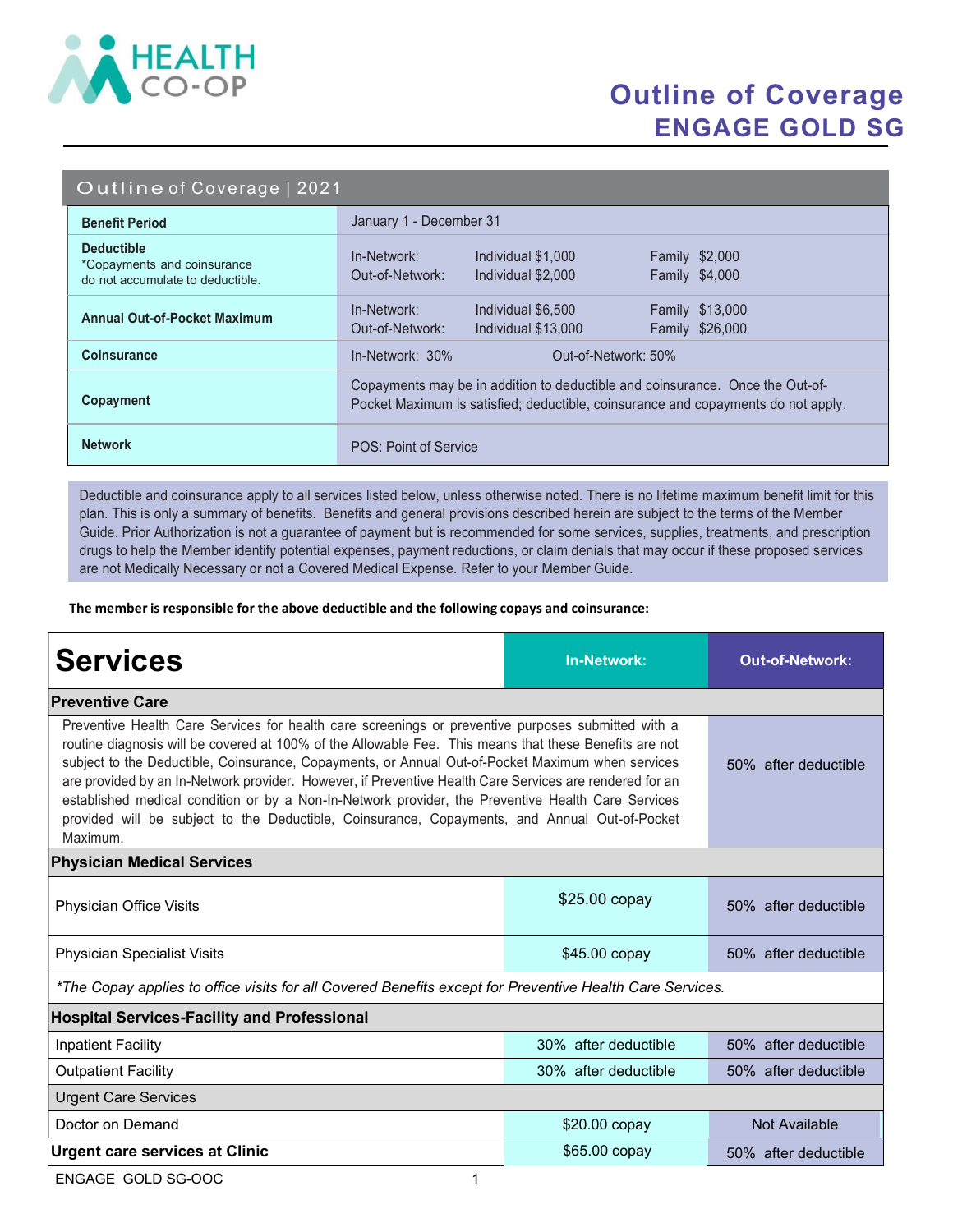

## Outline of Coverage ENGAGE GOLD SG

#### Outline of Coverage | 2021

| <b>Benefit Period</b>                                                                | January 1 - December 31                                                                                                                                            |  |  |
|--------------------------------------------------------------------------------------|--------------------------------------------------------------------------------------------------------------------------------------------------------------------|--|--|
| <b>Deductible</b><br>*Copayments and coinsurance<br>do not accumulate to deductible. | Individual \$1,000<br><b>Family \$2,000</b><br>In-Network:<br>Family \$4,000<br>Out-of-Network:<br>Individual \$2,000                                              |  |  |
| <b>Annual Out-of-Pocket Maximum</b>                                                  | In-Network:<br><b>Family \$13,000</b><br>Individual \$6,500<br>Family \$26,000<br>Out-of-Network:<br>Individual \$13,000                                           |  |  |
| <b>Coinsurance</b>                                                                   | In-Network: 30%<br>Out-of-Network: 50%                                                                                                                             |  |  |
| Copayment                                                                            | Copayments may be in addition to deductible and coinsurance. Once the Out-of-<br>Pocket Maximum is satisfied; deductible, coinsurance and copayments do not apply. |  |  |
| <b>Network</b>                                                                       | POS: Point of Service                                                                                                                                              |  |  |

Deductible and coinsurance apply to all services listed below, unless otherwise noted. There is no lifetime maximum benefit limit for this plan. This is only a summary of benefits. Benefits and general provisions described herein are subject to the terms of the Member Guide. Prior Authorization is not a guarantee of payment but is recommended for some services, supplies, treatments, and prescription drugs to help the Member identify potential expenses, payment reductions, or claim denials that may occur if these proposed services are not Medically Necessary or not a Covered Medical Expense. Refer to your Member Guide.

The member is responsible for the above deductible and the following copays and coinsurance:

| <b>Services</b>                                                                                                                                                                                                                                                                                                                                                                                                                                                                                                                                                                                                                                 | <b>In-Network:</b>   | <b>Out-of-Network:</b> |  |  |
|-------------------------------------------------------------------------------------------------------------------------------------------------------------------------------------------------------------------------------------------------------------------------------------------------------------------------------------------------------------------------------------------------------------------------------------------------------------------------------------------------------------------------------------------------------------------------------------------------------------------------------------------------|----------------------|------------------------|--|--|
| <b>Preventive Care</b>                                                                                                                                                                                                                                                                                                                                                                                                                                                                                                                                                                                                                          |                      |                        |  |  |
| Preventive Health Care Services for health care screenings or preventive purposes submitted with a<br>routine diagnosis will be covered at 100% of the Allowable Fee. This means that these Benefits are not<br>subject to the Deductible, Coinsurance, Copayments, or Annual Out-of-Pocket Maximum when services<br>are provided by an In-Network provider. However, if Preventive Health Care Services are rendered for an<br>established medical condition or by a Non-In-Network provider, the Preventive Health Care Services<br>provided will be subject to the Deductible, Coinsurance, Copayments, and Annual Out-of-Pocket<br>Maximum. | 50% after deductible |                        |  |  |
| <b>Physician Medical Services</b>                                                                                                                                                                                                                                                                                                                                                                                                                                                                                                                                                                                                               |                      |                        |  |  |
| Physician Office Visits                                                                                                                                                                                                                                                                                                                                                                                                                                                                                                                                                                                                                         | \$25.00 copay        | 50% after deductible   |  |  |
| <b>Physician Specialist Visits</b>                                                                                                                                                                                                                                                                                                                                                                                                                                                                                                                                                                                                              | $$45.00$ copay       | 50% after deductible   |  |  |
| *The Copay applies to office visits for all Covered Benefits except for Preventive Health Care Services.                                                                                                                                                                                                                                                                                                                                                                                                                                                                                                                                        |                      |                        |  |  |
| <b>Hospital Services-Facility and Professional</b>                                                                                                                                                                                                                                                                                                                                                                                                                                                                                                                                                                                              |                      |                        |  |  |
| <b>Inpatient Facility</b>                                                                                                                                                                                                                                                                                                                                                                                                                                                                                                                                                                                                                       | 30% after deductible | 50% after deductible   |  |  |
| <b>Outpatient Facility</b>                                                                                                                                                                                                                                                                                                                                                                                                                                                                                                                                                                                                                      | 30% after deductible | 50% after deductible   |  |  |
| <b>Urgent Care Services</b>                                                                                                                                                                                                                                                                                                                                                                                                                                                                                                                                                                                                                     |                      |                        |  |  |
| Doctor on Demand                                                                                                                                                                                                                                                                                                                                                                                                                                                                                                                                                                                                                                | \$20.00 copay        | <b>Not Available</b>   |  |  |
| <b>Urgent care services at Clinic</b>                                                                                                                                                                                                                                                                                                                                                                                                                                                                                                                                                                                                           | \$65.00 copay        | 50% after deductible   |  |  |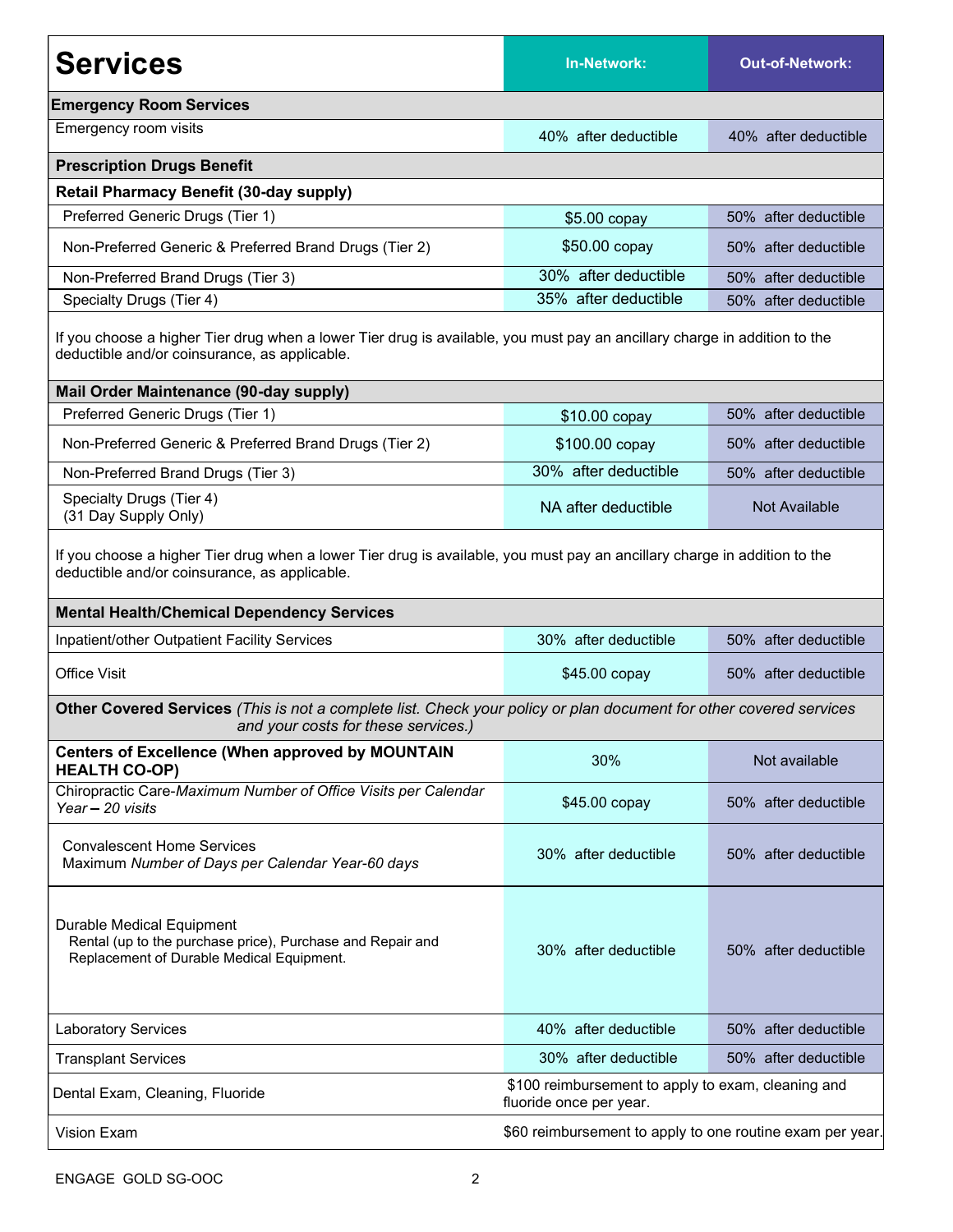| <b>Services</b>                                                                                                                                                                                                                 | <b>In-Network:</b>                                                            | <b>Out-of-Network:</b> |  |  |
|---------------------------------------------------------------------------------------------------------------------------------------------------------------------------------------------------------------------------------|-------------------------------------------------------------------------------|------------------------|--|--|
| <b>Emergency Room Services</b>                                                                                                                                                                                                  |                                                                               |                        |  |  |
| Emergency room visits                                                                                                                                                                                                           | 40% after deductible                                                          | 40% after deductible   |  |  |
| <b>Prescription Drugs Benefit</b>                                                                                                                                                                                               |                                                                               |                        |  |  |
| <b>Retail Pharmacy Benefit (30-day supply)</b>                                                                                                                                                                                  |                                                                               |                        |  |  |
| Preferred Generic Drugs (Tier 1)                                                                                                                                                                                                | $$5.00$ copay                                                                 | 50% after deductible   |  |  |
| Non-Preferred Generic & Preferred Brand Drugs (Tier 2)                                                                                                                                                                          | \$50.00 copay                                                                 | 50% after deductible   |  |  |
| Non-Preferred Brand Drugs (Tier 3)                                                                                                                                                                                              | 30% after deductible                                                          | 50% after deductible   |  |  |
| Specialty Drugs (Tier 4)                                                                                                                                                                                                        | 35% after deductible                                                          | 50% after deductible   |  |  |
| If you choose a higher Tier drug when a lower Tier drug is available, you must pay an ancillary charge in addition to the<br>deductible and/or coinsurance, as applicable.                                                      |                                                                               |                        |  |  |
| Mail Order Maintenance (90-day supply)                                                                                                                                                                                          |                                                                               |                        |  |  |
| Preferred Generic Drugs (Tier 1)                                                                                                                                                                                                | \$10.00 copay                                                                 | 50% after deductible   |  |  |
| Non-Preferred Generic & Preferred Brand Drugs (Tier 2)                                                                                                                                                                          | \$100.00 copay                                                                | 50% after deductible   |  |  |
| Non-Preferred Brand Drugs (Tier 3)                                                                                                                                                                                              | 30% after deductible                                                          | 50% after deductible   |  |  |
| Specialty Drugs (Tier 4)<br>(31 Day Supply Only)                                                                                                                                                                                | NA after deductible                                                           | Not Available          |  |  |
| If you choose a higher Tier drug when a lower Tier drug is available, you must pay an ancillary charge in addition to the<br>deductible and/or coinsurance, as applicable.<br><b>Mental Health/Chemical Dependency Services</b> |                                                                               |                        |  |  |
| Inpatient/other Outpatient Facility Services                                                                                                                                                                                    | 30% after deductible                                                          | 50% after deductible   |  |  |
| <b>Office Visit</b>                                                                                                                                                                                                             | \$45.00 copay                                                                 | 50% after deductible   |  |  |
| Other Covered Services (This is not a complete list. Check your policy or plan document for other covered services<br>and your costs for these services.)                                                                       |                                                                               |                        |  |  |
| <b>Centers of Excellence (When approved by MOUNTAIN</b><br><b>HEALTH CO-OP)</b>                                                                                                                                                 | 30%                                                                           | Not available          |  |  |
| Chiropractic Care-Maximum Number of Office Visits per Calendar<br>Year - 20 visits                                                                                                                                              | \$45.00 copay                                                                 | 50% after deductible   |  |  |
| <b>Convalescent Home Services</b><br>Maximum Number of Days per Calendar Year-60 days                                                                                                                                           | 30% after deductible                                                          | 50% after deductible   |  |  |
| Durable Medical Equipment<br>Rental (up to the purchase price), Purchase and Repair and<br>Replacement of Durable Medical Equipment.                                                                                            | 30% after deductible                                                          | 50% after deductible   |  |  |
| <b>Laboratory Services</b>                                                                                                                                                                                                      | 40% after deductible                                                          | 50% after deductible   |  |  |
| <b>Transplant Services</b>                                                                                                                                                                                                      | 30% after deductible                                                          | 50% after deductible   |  |  |
| Dental Exam, Cleaning, Fluoride                                                                                                                                                                                                 | \$100 reimbursement to apply to exam, cleaning and<br>fluoride once per year. |                        |  |  |
| <b>Vision Exam</b>                                                                                                                                                                                                              | \$60 reimbursement to apply to one routine exam per year.                     |                        |  |  |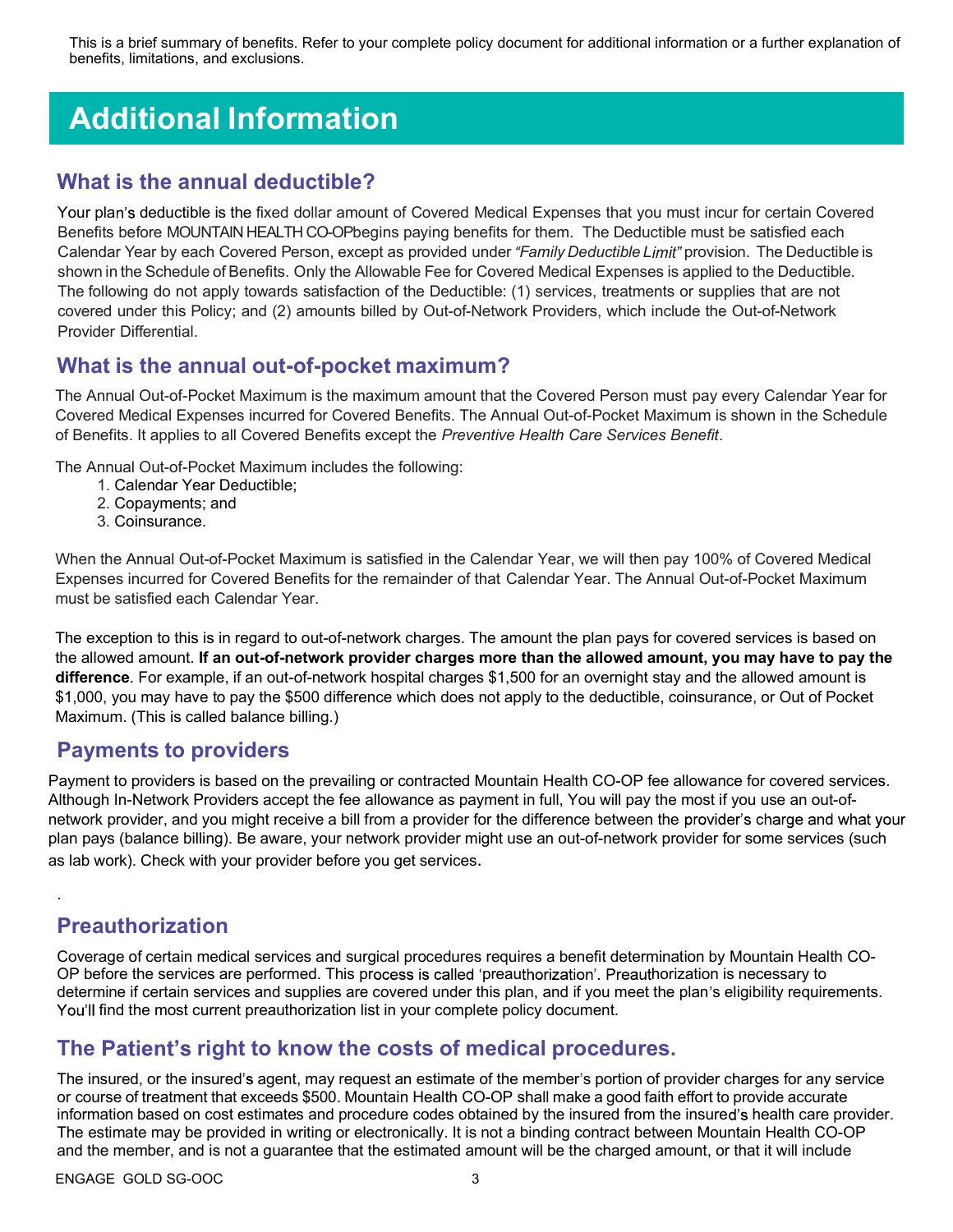This is a brief summary of benefits. Refer to your complete policy document for additional information or a further explanation of benefits, limitations, and exclusions.

# Additional Information

#### What is the annual deductible?

Your plan's deductible is the fixed dollar amount of Covered Medical Expenses that you must incur for certain Covered Benefits before MOUNTAIN HEALTH CO-OPbegins paying benefits for them. The Deductible must be satisfied each Calendar Year by each Covered Person, except as provided under "Family Deductible Limit" provision. The Deductible is shown in the Schedule of Benefits. Only the Allowable Fee for Covered Medical Expenses is applied to the Deductible. The following do not apply towards satisfaction of the Deductible: (1) services, treatments or supplies that are not covered under this Policy; and (2) amounts billed by Out-of-Network Providers, which include the Out-of-Network Provider Differential.

#### What is the annual out-of-pocket maximum?

The Annual Out-of-Pocket Maximum is the maximum amount that the Covered Person must pay every Calendar Year for Covered Medical Expenses incurred for Covered Benefits. The Annual Out-of-Pocket Maximum is shown in the Schedule of Benefits. It applies to all Covered Benefits except the Preventive Health Care Services Benefit.

The Annual Out-of-Pocket Maximum includes the following:

- 1. Calendar Year Deductible;
- 2. Copayments; and
- 3. Coinsurance.

When the Annual Out-of-Pocket Maximum is satisfied in the Calendar Year, we will then pay 100% of Covered Medical Expenses incurred for Covered Benefits for the remainder of that Calendar Year. The Annual Out-of-Pocket Maximum must be satisfied each Calendar Year.

The exception to this is in regard to out-of-network charges. The amount the plan pays for covered services is based on the allowed amount. If an out-of-network provider charges more than the allowed amount, you may have to pay the difference. For example, if an out-of-network hospital charges \$1,500 for an overnight stay and the allowed amount is \$1,000, you may have to pay the \$500 difference which does not apply to the deductible, coinsurance, or Out of Pocket Maximum. (This is called balance billing.)

#### Payments to providers

Payment to providers is based on the prevailing or contracted Mountain Health CO-OP fee allowance for covered services. Although In-Network Providers accept the fee allowance as payment in full, You will pay the most if you use an out-ofnetwork provider, and you might receive a bill from a provider for the difference between the provider's charge and what your plan pays (balance billing). Be aware, your network provider might use an out-of-network provider for some services (such as lab work). Check with your provider before you get services.

### Preauthorization

.

Coverage of certain medical services and surgical procedures requires a benefit determination by Mountain Health CO-OP before the services are performed. This process is called 'preauthorization'. Preauthorization is necessary to determine if certain services and supplies are covered under this plan, and if you meet the plan's eligibility requirements. You'll find the most current preauthorization list in your complete policy document.

#### The Patient's right to know the costs of medical procedures.

The insured, or the insured's agent, may request an estimate of the member's portion of provider charges for any service or course of treatment that exceeds \$500. Mountain Health CO-OP shall make a good faith effort to provide accurate information based on cost estimates and procedure codes obtained by the insured from the insured's health care provider. The estimate may be provided in writing or electronically. It is not a binding contract between Mountain Health CO-OP and the member, and is not a guarantee that the estimated amount will be the charged amount, or that it will include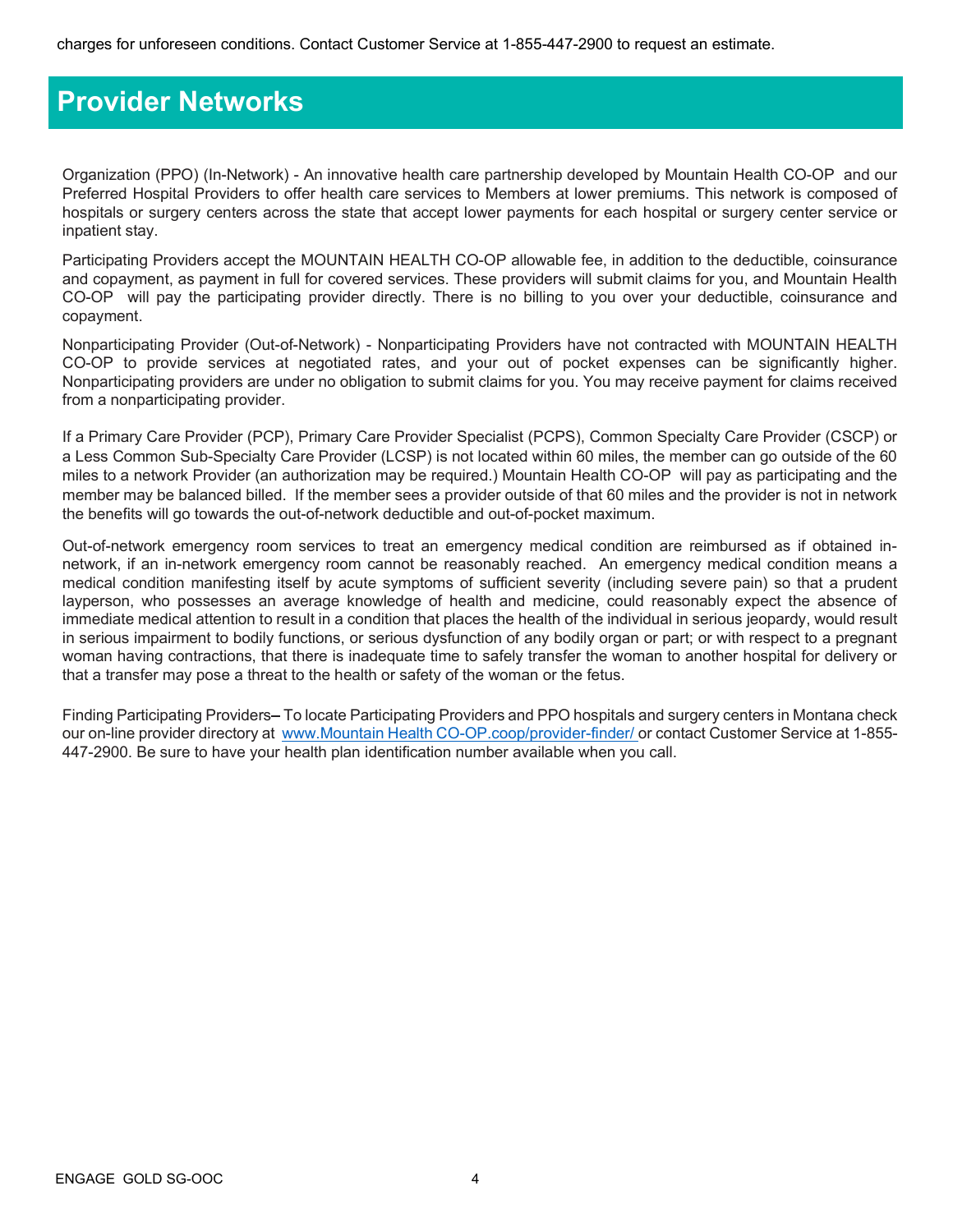## Provider Networks

Organization (PPO) (In-Network) - An innovative health care partnership developed by Mountain Health CO-OP and our Preferred Hospital Providers to offer health care services to Members at lower premiums. This network is composed of hospitals or surgery centers across the state that accept lower payments for each hospital or surgery center service or inpatient stay.

Participating Providers accept the MOUNTAIN HEALTH CO-OP allowable fee, in addition to the deductible, coinsurance and copayment, as payment in full for covered services. These providers will submit claims for you, and Mountain Health CO-OP will pay the participating provider directly. There is no billing to you over your deductible, coinsurance and copayment.

Nonparticipating Provider (Out-of-Network) - Nonparticipating Providers have not contracted with MOUNTAIN HEALTH CO-OP to provide services at negotiated rates, and your out of pocket expenses can be significantly higher. Nonparticipating providers are under no obligation to submit claims for you. You may receive payment for claims received from a nonparticipating provider.

If a Primary Care Provider (PCP), Primary Care Provider Specialist (PCPS), Common Specialty Care Provider (CSCP) or a Less Common Sub-Specialty Care Provider (LCSP) is not located within 60 miles, the member can go outside of the 60 miles to a network Provider (an authorization may be required.) Mountain Health CO-OP will pay as participating and the member may be balanced billed. If the member sees a provider outside of that 60 miles and the provider is not in network the benefits will go towards the out-of-network deductible and out-of-pocket maximum.

Out-of-network emergency room services to treat an emergency medical condition are reimbursed as if obtained innetwork, if an in-network emergency room cannot be reasonably reached. An emergency medical condition means a medical condition manifesting itself by acute symptoms of sufficient severity (including severe pain) so that a prudent layperson, who possesses an average knowledge of health and medicine, could reasonably expect the absence of immediate medical attention to result in a condition that places the health of the individual in serious jeopardy, would result in serious impairment to bodily functions, or serious dysfunction of any bodily organ or part; or with respect to a pregnant woman having contractions, that there is inadequate time to safely transfer the woman to another hospital for delivery or that a transfer may pose a threat to the health or safety of the woman or the fetus.

Finding Participating Providers–To locate Participating Providers and PPO hospitals and surgery centers in Montana check our on-line provider directory at www.Mountain Health CO-OP.coop/provider-finder/ or contact Customer Service at 1-855-447-2900. Be sure to have your health plan identification number available when you call.